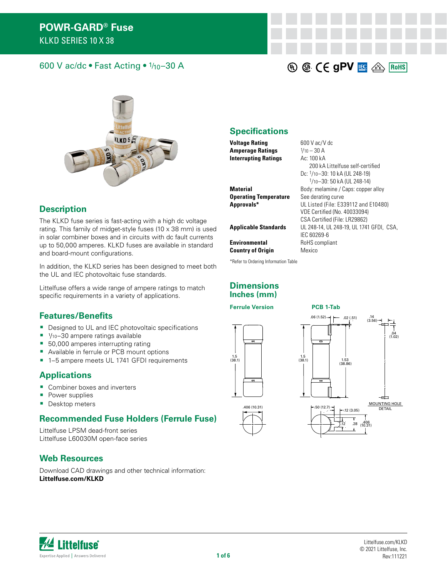#### 600 V ac/dc • Fast Acting • 1/10–30 A



#### **Description**

The KLKD fuse series is fast-acting with a high dc voltage rating. This family of midget-style fuses (10 x 38 mm) is used in solar combiner boxes and in circuits with dc fault currents up to 50,000 amperes. KLKD fuses are available in standard and board-mount configurations.

In addition, the KLKD series has been designed to meet both the UL and IEC photovoltaic fuse standards.

Littelfuse offers a wide range of ampere ratings to match specific requirements in a variety of applications.

#### **Features/Benefits**

- Designed to UL and IEC photovoltaic specifications
- $1/10-30$  ampere ratings available
- 50,000 amperes interrupting rating
- **Available in ferrule or PCB mount options**
- 1-5 ampere meets UL 1741 GFDI requirements

#### **Applications**

- Combiner boxes and inverters
- **Power supplies**
- **Desktop meters**

#### **Recommended Fuse Holders (Ferrule Fuse)**

Littelfuse LPSM dead-front series Littelfuse L60030M open-face series

#### **Web Resources**

Download CAD drawings and other technical information: **[Littelfuse.com/K](https://www.littelfuse.com/klkd)LKD**

#### **Specifications**

**Voltage Rating** 600 V ac/V dc **Amperage Ratings** 1/10 – 30 A **Interrupting Ratings** Ac: 100 kA

**Material** Body: melamine / Caps: copper alloy **Operating Temperature** See derating curve **Approvals\*** UL Listed (File: E339112 and E10480)

**Applicable Standards** UL 248-14, UL 248-19, UL 1741 GFDI, CSA,

**Environmental RoHS** compliant

**Country of Origin Mexico** 

\*Refer to Ordering Information Table

#### **Dimensions Inches (mm)**

**Ferrule Version PCB 1-Tab**





200 kA Littelfuse self-certified Dc: 1/10–30: 10 kA (UL 248-19) 1/10–30: 50 kA (UL 248-14)

**40 G. CE gPV LG & ROHS** 

VDE Certified (No. 40033094) CSA Certified (File: LR29862)

IEC 60269-6

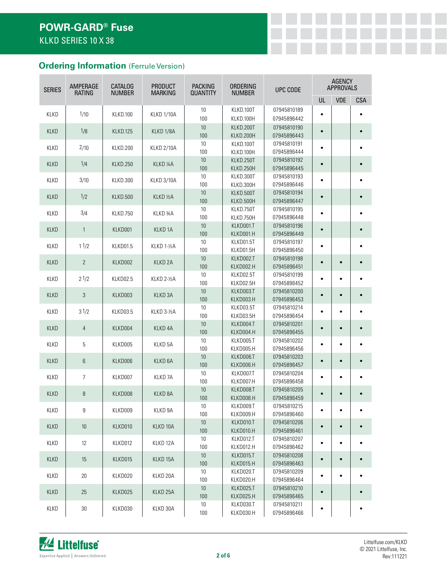# **Ordering Information** (Ferrule Version)

| <b>SERIES</b> | AMPERAGE<br><b>RATING</b> | <b>CATALOG</b><br><b>NUMBER</b> | <b>PRODUCT</b><br><b>MARKING</b> | <b>PACKING</b><br><b>QUANTITY</b> | ORDERING<br><b>NUMBER</b> | UPC CODE                   |           | <b>AGENCY</b><br><b>APPROVALS</b> |            |
|---------------|---------------------------|---------------------------------|----------------------------------|-----------------------------------|---------------------------|----------------------------|-----------|-----------------------------------|------------|
|               |                           |                                 |                                  |                                   |                           |                            | UL        | <b>VDE</b>                        | <b>CSA</b> |
|               |                           |                                 |                                  | 10                                | KLKD.100T                 | 07945810189                |           |                                   |            |
| <b>KLKD</b>   | 1/10                      | <b>KLKD.100</b>                 | <b>KLKD 1/10A</b>                | 100                               | KLKD.100H                 | 07945896442                | $\bullet$ |                                   |            |
| <b>KLKD</b>   | 1/8                       | KLKD.125                        | KLKD 1/8A                        | 10                                | KLKD.200T                 | 07945810190                | $\bullet$ |                                   |            |
|               |                           |                                 |                                  | 100                               | KLKD.200H                 | 07945896443                |           |                                   |            |
| <b>KLKD</b>   | 2/10                      | KLKD.200                        | <b>KLKD 2/10A</b>                | 10                                | KLKD.100T                 | 07945810191                | $\bullet$ |                                   | $\bullet$  |
|               |                           |                                 |                                  | 100                               | KLKD.100H                 | 07945896444                |           |                                   |            |
| <b>KLKD</b>   | 1/4                       | <b>KLKD.250</b>                 | KLKD <sub>14</sub> A             | 10                                | KLKD.250T                 | 07945810192                | $\bullet$ |                                   |            |
|               |                           |                                 |                                  | 100<br>10                         | KLKD.250H<br>KLKD.300T    | 07945896445<br>07945810193 |           |                                   |            |
| <b>KLKD</b>   | 3/10                      | <b>KLKD.300</b>                 | <b>KLKD 3/10A</b>                | 100                               | KLKD.300H                 | 07945896446                | $\bullet$ |                                   |            |
|               |                           |                                 |                                  | 10                                | KLKD.500T                 | 07945810194                |           |                                   |            |
| <b>KLKD</b>   | 1/2                       | <b>KLKD.500</b>                 | KLKD 1/2A                        | 100                               | KLKD.500H                 | 07945896447                | $\bullet$ |                                   |            |
|               |                           |                                 |                                  | 10                                | KLKD.750T                 | 07945810195                |           |                                   |            |
| <b>KLKD</b>   | 3/4                       | KLKD.750                        | KLKD 34A                         | 100                               | KLKD.750H                 | 07945896448                | $\bullet$ |                                   |            |
| <b>KLKD</b>   | $\mathbf{1}$              | KLKD001                         | KLKD <sub>1</sub> A              | 10                                | KLKD001.T                 | 07945810196                | $\bullet$ |                                   |            |
|               |                           |                                 |                                  | 100                               | KLKD001.H                 | 07945896449                |           |                                   |            |
| KLKD          | 11/2                      | KLKD01.5                        | KLKD 1-½A                        | 10                                | KLKD01.5T                 | 07945810197                | $\bullet$ |                                   |            |
|               |                           |                                 |                                  | 100                               | KLKD01.5H                 | 07945896450                |           |                                   |            |
| <b>KLKD</b>   | $\mathbf{2}$              | KLKD002                         | KLKD <sub>2A</sub>               | 10                                | KLKD002.T                 | 07945810198                | $\bullet$ |                                   |            |
|               |                           |                                 |                                  | 100                               | KLKD002.H                 | 07945896451                |           |                                   |            |
| <b>KLKD</b>   | 21/2                      | KLKD02.5                        | KLKD 2-1/2A                      | 10<br>100                         | KLKD02.5T<br>KLKD02.5H    | 07945810199<br>07945896452 | $\bullet$ | $\bullet$                         |            |
|               |                           |                                 |                                  | 10                                | KLKD003.T                 | 07945810200                |           |                                   |            |
| <b>KLKD</b>   | 3                         | KLKD003                         | KLKD <sub>3A</sub>               | 100                               | KLKD003.H                 | 07945896453                | $\bullet$ |                                   |            |
|               |                           |                                 |                                  | 10                                | KLKD03.5T                 | 07945810214                |           |                                   |            |
| <b>KLKD</b>   | 31/2                      | KLKD03.5                        | KLKD 3-1/2A                      | 100                               | KLKD03.5H                 | 07945896454                | $\bullet$ |                                   |            |
| <b>KLKD</b>   | $\overline{4}$            | KLKD004                         | KLKD <sub>4A</sub>               | 10                                | KLKD004.T                 | 07945810201                | $\bullet$ |                                   |            |
|               |                           |                                 |                                  | 100                               | KLKD004.H                 | 07945896455                |           |                                   |            |
| <b>KLKD</b>   | 5                         | KLKD005                         | KLKD 5A                          | 10                                | KLKD005.T                 | 07945810202                | $\bullet$ | $\bullet$                         |            |
|               |                           |                                 |                                  | 100                               | KLKD005.H                 | 07945896456                |           |                                   |            |
| <b>KLKD</b>   | 6                         | KLKD006                         | KLKD <sub>6A</sub>               | 10                                | KLKD006.T                 | 07945810203                | $\bullet$ |                                   |            |
|               |                           |                                 |                                  | 100<br>10                         | KLKD006.H                 | 07945896457                |           |                                   |            |
| <b>KLKD</b>   | 7                         | KLKD007                         | KLKD <sub>7A</sub>               | 100                               | KLKD007.T<br>KLKD007.H    | 07945810204<br>07945896458 | $\bullet$ | $\bullet$                         |            |
|               |                           |                                 |                                  | $10\,$                            | KLKD008.T                 | 07945810205                |           |                                   |            |
| <b>KLKD</b>   | 8                         | KLKD008                         | KLKD <sub>8A</sub>               | 100                               | KLKD008.H                 | 07945896459                | $\bullet$ |                                   |            |
|               |                           |                                 |                                  | 10                                | KLKD009.T                 | 07945810215                |           |                                   |            |
| KLKD          | 9                         | KLKD009                         | KLKD 9A                          | 100                               | KLKD009.H                 | 07945896460                | $\bullet$ | $\bullet$                         |            |
| KLKD          | 10                        | KLKD010                         | KLKD 10A                         | $10$                              | KLKD010.T                 | 07945810206                | $\bullet$ |                                   |            |
|               |                           |                                 |                                  | 100                               | KLKD010.H                 | 07945896461                |           |                                   |            |
| KLKD          | 12                        | KLKD012                         | KLKD 12A                         | $10$                              | KLKD012.T                 | 07945810207                | $\bullet$ | ٠                                 |            |
|               |                           |                                 |                                  | 100                               | KLKD012.H                 | 07945896462                |           |                                   |            |
| KLKD          | 15                        | KLKD015                         | KLKD 15A                         | $10$<br>100                       | KLKD015.T<br>KLKD015.H    | 07945810208<br>07945896463 | $\bullet$ | $\bullet$                         |            |
|               |                           |                                 |                                  | 10                                | KLKD020.T                 | 07945810209                |           |                                   |            |
| <b>KLKD</b>   | 20                        | KLKD020                         | KLKD 20A                         | 100                               | KLKD020.H                 | 07945896464                | ٠         | ٠                                 |            |
|               |                           |                                 |                                  | 10                                | KLKD025.T                 | 07945810210                |           |                                   |            |
| KLKD          | 25                        | KLKD025                         | KLKD <sub>25A</sub>              | 100                               | KLKD025.H                 | 07945896465                | $\bullet$ |                                   |            |
| KLKD          | $30\,$                    | KLKD030                         | KLKD 30A                         | $10\,$                            | KLKD030.T                 | 07945810211                | ٠         |                                   |            |
|               |                           |                                 |                                  | 100                               | KLKD030.H                 | 07945896466                |           |                                   |            |

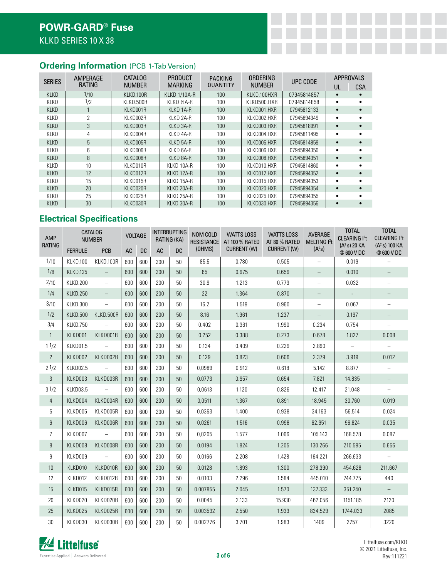# **Ordering Information** (PCB 1-Tab Version)

| <b>SERIES</b> | AMPERAGE | CATALOG       | <b>PRODUCT</b>      | <b>PACKING</b>   | ORDERING      | UPC CODE    |    | <b>APPROVALS</b> |
|---------------|----------|---------------|---------------------|------------------|---------------|-------------|----|------------------|
|               | RATING   | <b>NUMBER</b> | <b>MARKING</b>      | QUANTITY         | <b>NUMBER</b> |             | UL | <b>CSA</b>       |
| <b>KLKD</b>   | 1/10     | KLKD.100R     | <b>KLKD 1/10A-R</b> | 100 <sub>1</sub> | KLKD.100HXR   | 07945814857 |    |                  |
| <b>KLKD</b>   | 1/2      | KLKD.500R     | KLKD ½A-R           | 100              | KLKD500.HXR   | 07945814858 |    |                  |
| <b>KLKD</b>   |          | KLKD001R      | KLKD 1A-R           | 100              | KLKD001.HXR   | 07945812133 |    |                  |
| <b>KLKD</b>   | 2        | KLKD002R      | KLKD 2A-R           | 100              | KLKD002.HXR   | 07945894349 |    |                  |
| <b>KLKD</b>   | 3        | KLKD003R      | KLKD 3A-R           | 100              | KLKD003.HXR   | 07945818991 |    |                  |
| KLKD          | 4        | KLKD004R      | KLKD 4A-R           | 100              | KLKD004.HXR   | 07945811495 |    |                  |
| <b>KLKD</b>   | 5        | KLKD005R      | KLKD 5A-R           | 100              | KLKD005.HXR   | 07945814859 |    |                  |
| <b>KLKD</b>   | 6        | KLKD006R      | KLKD 6A-R           | 100              | KLKD006.HXR   | 07945894350 |    |                  |
| <b>KLKD</b>   | 8        | KLKD008R      | KLKD 8A-R           | 100              | KLKD008.HXR   | 07945894351 |    |                  |
| KLKD          | 10       | KLKD010R      | KLKD 10A-R          | 100              | KLKD010.HXR   | 07945814860 |    |                  |
| <b>KLKD</b>   | 12       | KLKD012R      | KLKD 12A-R          | 100              | KLKD012.HXR   | 07945894352 |    |                  |
| <b>KLKD</b>   | 15       | KLKD015R      | KLKD 15A-R          | 100              | KLKD015.HXR   | 07945894353 |    |                  |
| <b>KLKD</b>   | 20       | KLKD020R      | KLKD 20A-R          | 100              | KLKD020.HXR   | 07945894354 |    |                  |
| <b>KLKD</b>   | 25       | KLKD025R      | KLKD 25A-R          | 100              | KLKD025.HXR   | 07945894355 |    |                  |
| <b>KLKD</b>   | 30       | KLKD030R      | KLKD 30A-R          | 100              | KLKD030.HXR   | 07945894356 |    |                  |

# **Electrical Specifications**

| <b>AMP</b><br><b>RATING</b> |                 | <b>CATALOG</b><br><b>NUMBER</b> | <b>VOLTAGE</b> |           | <b>INTERRUPTING</b><br>RATING (KA) |           | NOM COLD<br><b>RESISTANCE</b> | <b>WATTS LOSS</b><br>AT 100 % RATED | <b>WATTS LOSS</b><br>AT 80 % RATED | AVERAGE<br>MELTING <sup>2</sup> t | <b>TOTAL</b><br><b>CLEARING I2t</b><br>$(A^2 s)$ 20 KA | <b>TOTAL</b><br><b>CLEARING I<sup>2</sup>t</b><br>$(A^2 s)$ 100 KA |
|-----------------------------|-----------------|---------------------------------|----------------|-----------|------------------------------------|-----------|-------------------------------|-------------------------------------|------------------------------------|-----------------------------------|--------------------------------------------------------|--------------------------------------------------------------------|
|                             | <b>FERRULE</b>  | PCB                             | <b>AC</b>      | <b>DC</b> | <b>AC</b>                          | <b>DC</b> | (OHMS)                        | CURRENT (W)                         | <b>CURRENT (W)</b>                 | (A <sup>2</sup> S)                | @600 VDC                                               | @600 VDC                                                           |
| 1/10                        | <b>KLKD.100</b> | KLKD.100R                       | 600            | 600       | 200                                | 50        | 85.5                          | 0.780                               | 0.505                              | $\overline{\phantom{0}}$          | 0.019                                                  |                                                                    |
| 1/8                         | <b>KLKD.125</b> | $\overline{\phantom{a}}$        | 600            | 600       | 200                                | 50        | 65                            | 0.975                               | 0.659                              | $\qquad \qquad -$                 | 0.010                                                  |                                                                    |
| 2/10                        | <b>KLKD.200</b> | $\qquad \qquad -$               | 600            | 600       | 200                                | 50        | 30.9                          | 1.213                               | 0.773                              | $\overline{\phantom{0}}$          | 0.032                                                  |                                                                    |
| 1/4                         | <b>KLKD.250</b> | $\qquad \qquad -$               | 600            | 600       | 200                                | 50        | 22                            | 1.364                               | 0.870                              | $\qquad \qquad -$                 | $\overline{\phantom{a}}$                               |                                                                    |
| 3/10                        | KLKD.300        | $\qquad \qquad -$               | 600            | 600       | 200                                | 50        | 16.2                          | 1.519                               | 0.960                              | $\overline{\phantom{m}}$          | 0.067                                                  |                                                                    |
| 1/2                         | <b>KLKD.500</b> | KLKD.500R                       | 600            | 600       | 200                                | 50        | 8.16                          | 1.961                               | 1.237                              | $\qquad \qquad -$                 | 0.197                                                  |                                                                    |
| 3/4                         | KLKD.750        | $\overline{\phantom{0}}$        | 600            | 600       | 200                                | 50        | 0.402                         | 0.361                               | 1.990                              | 0.234                             | 0.754                                                  |                                                                    |
| $\mathbf{1}$                | KLKD001         | KLKD001R                        | 600            | 600       | 200                                | 50        | 0.252                         | 0.388                               | 0.273                              | 0.678                             | 1.827                                                  | 0.008                                                              |
| 11/2                        | KLKD01.5        | $\qquad \qquad -$               | 600            | 600       | 200                                | 50        | 0.134                         | 0.409                               | 0.229                              | 2.890                             | $\overline{\phantom{a}}$                               |                                                                    |
| $\overline{2}$              | KLKD002         | KLKD002R                        | 600            | 600       | 200                                | 50        | 0.129                         | 0.823                               | 0.606                              | 2.379                             | 3.919                                                  | 0.012                                                              |
| 21/2                        | KLKD02.5        |                                 | 600            | 600       | 200                                | 50        | 0.0989                        | 0.912                               | 0.618                              | 5.142                             | 8.877                                                  |                                                                    |
| 3                           | KLKD003         | KLKD003R                        | 600            | 600       | 200                                | 50        | 0.0773                        | 0.957                               | 0.654                              | 7.821                             | 14.835                                                 |                                                                    |
| 31/2                        | KLKD03.5        | $\overline{\phantom{0}}$        | 600            | 600       | 200                                | 50        | 0,0613                        | 1.120                               | 0.826                              | 12.417                            | 21.048                                                 | $\overline{\phantom{a}}$                                           |
| $\overline{4}$              | KLKD004         | KLKD004R                        | 600            | 600       | 200                                | 50        | 0.0511                        | 1.367                               | 0.891                              | 18.945                            | 30.760                                                 | 0.019                                                              |
| 5                           | KLKD005         | KLKD005R                        | 600            | 600       | 200                                | 50        | 0,0363                        | 1.400                               | 0.938                              | 34.163                            | 56.514                                                 | 0.024                                                              |
| 6                           | KLKD006         | KLKD006R                        | 600            | 600       | 200                                | 50        | 0,0261                        | 1.516                               | 0.998                              | 62.951                            | 96.824                                                 | 0.035                                                              |
| 7                           | KLKD007         | $\overline{\phantom{0}}$        | 600            | 600       | 200                                | 50        | 0,0205                        | 1.577                               | 1.066                              | 105.143                           | 168.578                                                | 0.087                                                              |
| 8                           | KLKD008         | KLKD008R                        | 600            | 600       | 200                                | 50        | 0.0194                        | 1.824                               | 1.205                              | 130.266                           | 210.595                                                | 0.656                                                              |
| 9                           | KLKD009         | $\qquad \qquad -$               | 600            | 600       | 200                                | 50        | 0.0166                        | 2.208                               | 1.428                              | 164.221                           | 266.633                                                |                                                                    |
| 10                          | KLKD010         | KLKD010R                        | 600            | 600       | 200                                | 50        | 0.0128                        | 1.893                               | 1.300                              | 278.390                           | 454.628                                                | 211.667                                                            |
| 12                          | KLKD012         | KLKD012R                        | 600            | 600       | 200                                | 50        | 0.0103                        | 2.296                               | 1.584                              | 445.010                           | 744.775                                                | 440                                                                |
| 15                          | KLKD015         | KLKD015R                        | 600            | 600       | 200                                | 50        | 0.007855                      | 2.045                               | 1.570                              | 137.333                           | 351.240                                                |                                                                    |
| 20                          | KLKD020         | KLKD020R                        | 600            | 600       | 200                                | 50        | 0.0045                        | 2.133                               | 15.930                             | 462.056                           | 1151.185                                               | 2120                                                               |
| 25                          | KLKD025         | KLKD025R                        | 600            | 600       | 200                                | 50        | 0.003532                      | 2.550                               | 1.933                              | 834.529                           | 1744.033                                               | 2085                                                               |
| 30                          | KLKD030         | KLKD030R                        | 600            | 600       | 200                                | 50        | 0.002776                      | 3.701                               | 1.983                              | 1409                              | 2757                                                   | 3220                                                               |

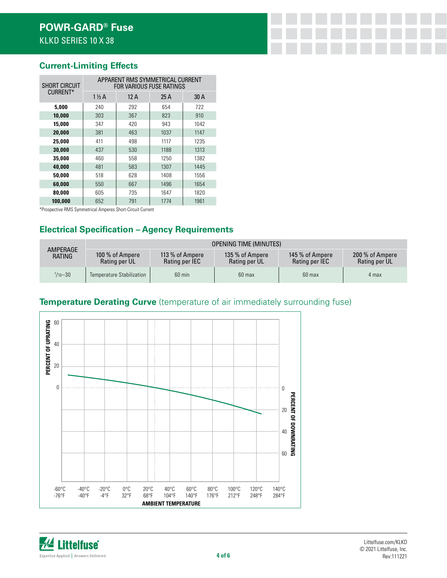### **Current-Limiting Effects**

| <b>SHORT CIRCUIT</b> | APPARENT RMS SYMMETRICAL CURRENT<br><b>FOR VARIOUS FUSE RATINGS</b> |      |      |      |  |  |  |  |  |
|----------------------|---------------------------------------------------------------------|------|------|------|--|--|--|--|--|
| CURRENT*             | $1\frac{1}{2}$ A                                                    | 12 A | 25 A | 30 A |  |  |  |  |  |
| 5.000                | 240                                                                 | 292  | 654  | 722  |  |  |  |  |  |
| 10,000               | 303                                                                 | 367  | 823  | 910  |  |  |  |  |  |
| 15,000               | 347                                                                 | 420  | 943  | 1042 |  |  |  |  |  |
| 20,000               | 381                                                                 | 463  | 1037 | 1147 |  |  |  |  |  |
| 25,000               | 411                                                                 | 498  | 1117 | 1235 |  |  |  |  |  |
| 30,000               | 437                                                                 | 530  | 1188 | 1313 |  |  |  |  |  |
| 35,000               | 460                                                                 | 558  | 1250 | 1382 |  |  |  |  |  |
| 40,000               | 481                                                                 | 583  | 1307 | 1445 |  |  |  |  |  |
| 50,000               | 518                                                                 | 628  | 1408 | 1556 |  |  |  |  |  |
| 60.000               | 550                                                                 | 667  | 1496 | 1654 |  |  |  |  |  |
| 80.000               | 605                                                                 | 735  | 1647 | 1820 |  |  |  |  |  |
| 100,000              | 652                                                                 | 791  | 1774 | 1961 |  |  |  |  |  |

\*Prospective RMS Symmetrical Amperes Short-Circuit Current

# **Electrical Specification – Agency Requirements**

|                     | <b>OPENING TIME (MINUTES)</b>    |                                   |                                  |                                   |                                  |  |  |  |  |  |
|---------------------|----------------------------------|-----------------------------------|----------------------------------|-----------------------------------|----------------------------------|--|--|--|--|--|
| AMPERAGE<br>RATING  | 100 % of Ampere<br>Rating per UL | 113 % of Ampere<br>Rating per IEC | 135 % of Ampere<br>Rating per UL | 145 % of Ampere<br>Rating per IEC | 200 % of Ampere<br>Rating per UL |  |  |  |  |  |
| $\frac{1}{10} - 30$ | Temperature Stabilization        | $60$ min                          | 60 max                           | 60 max                            | 4 max                            |  |  |  |  |  |

#### **Temperature Derating Curve** (temperature of air immediately surrounding fuse)



*M* Littelfuse Expertise Applied | Answers Delivered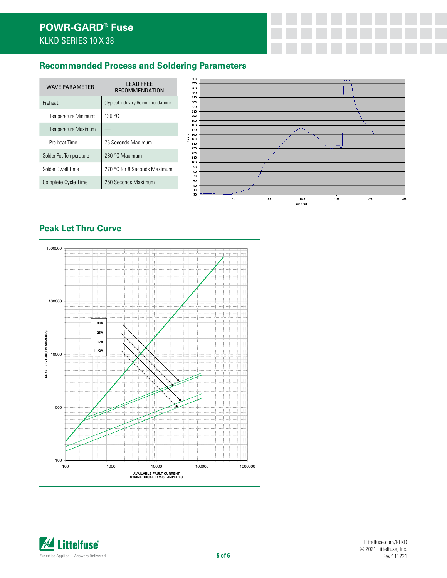# **POWR-GARD® Fuse** KLKD SERIES 10 X 38

# **Recommended Process and Soldering Parameters**

| <b>LEAD FREE</b><br>RECOMMENDATION<br>(Typical Industry Recommendation) | 280<br>270<br>260<br>250<br>240<br>230 |                                          |  |     |          |     |
|-------------------------------------------------------------------------|----------------------------------------|------------------------------------------|--|-----|----------|-----|
|                                                                         |                                        |                                          |  |     |          |     |
|                                                                         | 220                                    |                                          |  |     |          |     |
| 130 °C                                                                  | 210<br>200<br>190                      |                                          |  |     |          |     |
| $\overline{\phantom{m}}$                                                | 180<br>170                             |                                          |  |     |          |     |
| 75 Seconds Maximum                                                      | 150<br>140                             |                                          |  |     |          |     |
| 280 °C Maximum                                                          | 120<br>110                             |                                          |  |     |          |     |
| 270 °C for 8 Seconds Maximum                                            | 90<br>80                               |                                          |  |     |          |     |
| 250 Seconds Maximum                                                     | 60<br>50                               |                                          |  |     |          |     |
|                                                                         | 30<br>0                                | 50                                       |  | 150 | 200      | 250 |
|                                                                         |                                        | celolus<br>160<br>130<br>100<br>70<br>40 |  | 100 | seconds. |     |

# **Peak Let Thru Curve**